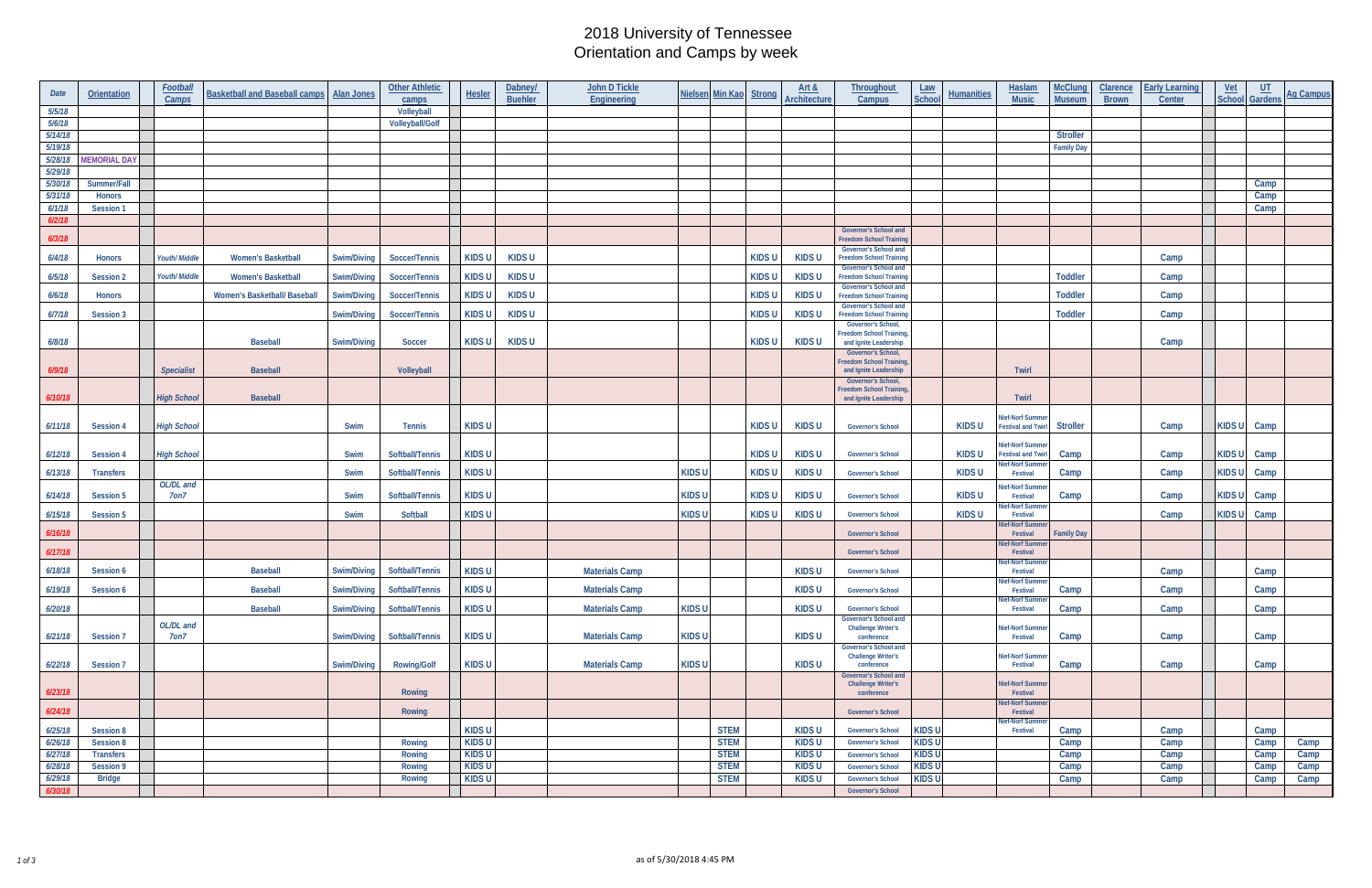## 2018 University of Tennessee Orientation and Camps by week

| Date               | <b>Orientation</b>         | <b>Footbal</b><br>Camps | <b>Basketball and Baseball camps</b> | <b>Alan Jones</b> | <b>Other Athletic</b><br>camps | Hesler       | Dabney/<br><b>Buehler</b> | John D Tickle<br>Engineering |              | Nielsen Min Kao Strong     |              | <u>Art &amp;</u><br><b>Architecture</b> | <u>Throughout</u><br>Campus                                                      | <b>Law</b><br>Humanities<br><b>Schoo</b> | Haslam<br><b>Music</b>                    | <b>McClung</b><br>Museum | <b>Early Learning</b><br><b>Clarence</b><br><b>Brown</b> | Center | $Vect$<br><b>School Gardens</b> | <b>Ag Campus</b> |
|--------------------|----------------------------|-------------------------|--------------------------------------|-------------------|--------------------------------|--------------|---------------------------|------------------------------|--------------|----------------------------|--------------|-----------------------------------------|----------------------------------------------------------------------------------|------------------------------------------|-------------------------------------------|--------------------------|----------------------------------------------------------|--------|---------------------------------|------------------|
| 5/5/18             |                            |                         |                                      |                   | Volleyball                     |              |                           |                              |              |                            |              |                                         |                                                                                  |                                          |                                           |                          |                                                          |        |                                 |                  |
| 5/6/18             |                            |                         |                                      |                   | <b>Volleyball/Golf</b>         |              |                           |                              |              |                            |              |                                         |                                                                                  |                                          |                                           |                          |                                                          |        |                                 |                  |
| 5/14/18            |                            |                         |                                      |                   |                                |              |                           |                              |              |                            |              |                                         |                                                                                  |                                          |                                           | <b>Stroller</b>          |                                                          |        |                                 |                  |
| 5/19/18            | <b>MEMORIAL DAY</b>        |                         |                                      |                   |                                |              |                           |                              |              |                            |              |                                         |                                                                                  |                                          |                                           | <b>Family Day</b>        |                                                          |        |                                 |                  |
| 5/28/18<br>5/29/18 |                            |                         |                                      |                   |                                |              |                           |                              |              |                            |              |                                         |                                                                                  |                                          |                                           |                          |                                                          |        |                                 |                  |
| 5/30/18            | Summer/Fall                |                         |                                      |                   |                                |              |                           |                              |              |                            |              |                                         |                                                                                  |                                          |                                           |                          |                                                          |        |                                 | Camp             |
| 5/31/18            | <b>Honors</b>              |                         |                                      |                   |                                |              |                           |                              |              |                            |              |                                         |                                                                                  |                                          |                                           |                          |                                                          |        |                                 | Camp             |
| 6/1/18             | <b>Session 1</b>           |                         |                                      |                   |                                |              |                           |                              |              |                            |              |                                         |                                                                                  |                                          |                                           |                          |                                                          |        |                                 | Camp             |
| 6/2/18             |                            |                         |                                      |                   |                                |              |                           |                              |              |                            |              |                                         |                                                                                  |                                          |                                           |                          |                                                          |        |                                 |                  |
| 6/3/18             |                            |                         |                                      |                   |                                |              |                           |                              |              |                            |              |                                         | Governor's School and<br><b>Freedom School Training</b>                          |                                          |                                           |                          |                                                          |        |                                 |                  |
| 6/4/18             | <b>Honors</b>              | <b>Youth/Middle</b>     | <b>Women's Basketball</b>            | Swim/Diving       | Soccer/Tennis                  | <b>KIDSU</b> | <b>KIDSU</b>              |                              |              |                            | <b>KIDSU</b> | <b>KIDSU</b>                            | Governor's School and<br><b>Freedom School Training</b>                          |                                          |                                           |                          |                                                          | Camp   |                                 |                  |
| 6/5/18             | Session 2                  | Youth/ Middle           | <b>Women's Basketball</b>            | Swim/Diving       | Soccer/Tennis                  | <b>KIDSU</b> | KIDS U                    |                              |              |                            | <b>KIDSU</b> | <b>KIDSU</b>                            | Governor's School and<br><b>Freedom School Training</b><br>Governor's School and |                                          |                                           | <b>Toddler</b>           |                                                          | Camp   |                                 |                  |
| 6/6/18             | <b>Honors</b>              |                         | Women's Basketball/ Baseball         | Swim/Diving       | Soccer/Tennis                  | <b>KIDSU</b> | KIDS U                    |                              |              |                            | <b>KIDSU</b> | KIDS U                                  | <b>Freedom School Training</b><br>Governor's School and                          |                                          |                                           | <b>Toddler</b>           |                                                          | Camp   |                                 |                  |
| 6/7/18             | Session 3                  |                         |                                      | Swim/Diving       | Soccer/Tennis                  | <b>KIDSU</b> | KIDS U                    |                              |              |                            | <b>KIDSU</b> | <b>KIDSU</b>                            | Freedom School Training                                                          |                                          |                                           | <b>Toddler</b>           |                                                          | Camp   |                                 |                  |
|                    |                            |                         |                                      |                   |                                |              |                           |                              |              |                            |              |                                         | Governor's School,<br><b>Freedom School Training,</b>                            |                                          |                                           |                          |                                                          |        |                                 |                  |
| 6/8/18             |                            |                         | <b>Baseball</b>                      | Swim/Diving       | Soccer                         | <b>KIDSU</b> | KIDS U                    |                              |              |                            | <b>KIDSU</b> | <b>KIDSU</b>                            | and Ignite Leadership<br>Governor's School,                                      |                                          |                                           |                          |                                                          | Camp   |                                 |                  |
| 6/9/18             |                            | <b>Specialist</b>       | <b>Baseball</b>                      |                   | <b>Volleyball</b>              |              |                           |                              |              |                            |              |                                         | reedom School Training,<br>and Ignite Leadership                                 |                                          | Twirl                                     |                          |                                                          |        |                                 |                  |
|                    |                            |                         |                                      |                   |                                |              |                           |                              |              |                            |              |                                         | Governor's School,                                                               |                                          |                                           |                          |                                                          |        |                                 |                  |
| 6/10/18            |                            | <b>High School</b>      | <b>Baseball</b>                      |                   |                                |              |                           |                              |              |                            |              |                                         | reedom School Training,<br>and Ignite Leadership                                 |                                          | Twirl                                     |                          |                                                          |        |                                 |                  |
|                    |                            |                         |                                      |                   |                                |              |                           |                              |              |                            |              |                                         |                                                                                  |                                          | lief-Norf Summe                           |                          |                                                          |        |                                 |                  |
| 6/11/18            | <b>Session 4</b>           | <b>High School</b>      |                                      | Swim              | <b>Tennis</b>                  | <b>KIDSU</b> |                           |                              |              |                            | <b>KIDSU</b> | <b>KIDSU</b>                            | <b>Governor's School</b>                                                         | <b>KIDSU</b>                             | estival and Twirl                         | <b>Stroller</b>          |                                                          | Camp   | <b>KIDSU</b>                    | Camp             |
|                    |                            |                         |                                      |                   |                                |              |                           |                              |              |                            |              |                                         |                                                                                  |                                          | lief-Norf Summe                           |                          |                                                          |        |                                 |                  |
| 6/12/18            | <b>Session 4</b>           | <b>High School</b>      |                                      | Swim              | Softball/Tennis                | KIDS U       |                           |                              |              |                            | <b>KIDSU</b> | <b>KIDSU</b>                            | <b>Governor's School</b>                                                         | <b>KIDSU</b>                             | estival and Twir<br><b>ief-Norf Summe</b> | Camp                     |                                                          | Camp   | <b>KIDSU</b>                    | Camp             |
| 6/13/18            | <b>Transfers</b>           |                         |                                      | Swim              | Softball/Tennis                | <b>KIDSU</b> |                           |                              | <b>KIDSU</b> |                            | <b>KIDSU</b> | <b>KIDSU</b>                            | <b>Governor's School</b>                                                         | <b>KIDSU</b>                             | Festival                                  | Camp                     |                                                          | Camp   | <b>KIDS</b>                     | Camp             |
| 6/14/18            | <b>Session 5</b>           | OL/DL and<br>7on7       |                                      | Swim              | Softball/Tennis                | <b>KIDSU</b> |                           |                              | <b>KIDSU</b> |                            | <b>KIDSU</b> | <b>KIDSU</b>                            | <b>Governor's School</b>                                                         | <b>KIDSU</b>                             | lief-Norf Summe<br>Festival               | Camp                     |                                                          | Camp   | <b>KIDS</b>                     | Camp             |
| 6/15/18            | <b>Session 5</b>           |                         |                                      | Swim              | Softball                       | KIDS U       |                           |                              | <b>KIDSU</b> |                            | KIDS U       | <b>KIDSU</b>                            | <b>Governor's School</b>                                                         | <b>KIDSU</b>                             | ief-Norf Summe<br>Festival                |                          |                                                          | Camp   | <b>KIDS L</b>                   | Camp             |
| 6/16/18            |                            |                         |                                      |                   |                                |              |                           |                              |              |                            |              |                                         | <b>Governor's School</b>                                                         |                                          | <b>ief-Norf Summe</b><br>Festival         | <b>Family Day</b>        |                                                          |        |                                 |                  |
| 6/17/18            |                            |                         |                                      |                   |                                |              |                           |                              |              |                            |              |                                         | <b>Governor's School</b>                                                         |                                          | lief-Norf Summe<br>Festival               |                          |                                                          |        |                                 |                  |
| 6/18/18            | Session 6                  |                         | <b>Baseball</b>                      | Swim/Diving       | Softball/Tennis                | KIDS U       |                           | <b>Materials Camp</b>        |              |                            |              | <b>KIDSU</b>                            | <b>Governor's School</b>                                                         |                                          | lief-Norf Summ<br>Festival                |                          |                                                          | Camp   |                                 | Camp             |
| 6/19/18            | Session 6                  |                         | <b>Baseball</b>                      |                   | Swim/Diving Softball/Tennis    | <b>KIDSU</b> |                           | <b>Materials Camp</b>        |              |                            |              | <b>KIDSU</b>                            | <b>Governor's School</b>                                                         |                                          | Nief-Norf Summe<br>Festival               | Camp                     |                                                          | Camp   |                                 | Camp             |
| 6/20/18            |                            |                         | <b>Baseball</b>                      | Swim/Diving       | Softball/Tennis                | <b>KIDSU</b> |                           | <b>Materials Camp</b>        | <b>KIDSU</b> |                            |              | <b>KIDSU</b>                            | <b>Governor's School</b>                                                         |                                          | lief-Norf Summe<br>Festival               | Camp                     |                                                          | Camp   |                                 | Camp             |
|                    |                            | OL/DL and               |                                      |                   |                                |              |                           |                              |              |                            |              |                                         | Governor's School and<br><b>Challenge Writer's</b>                               |                                          | Nief-Norf Summe                           |                          |                                                          |        |                                 |                  |
| 6/21/18            | <b>Session 7</b>           | 7on7                    |                                      | Swim/Diving       | Softball/Tennis                | <b>KIDSU</b> |                           | <b>Materials Camp</b>        | <b>KIDSU</b> |                            |              | <b>KIDSU</b>                            | conference<br>Governor's School and                                              |                                          | Festival                                  | Camp                     |                                                          | Camp   |                                 | Camp             |
| 6/22/18            | Session 7                  |                         |                                      | Swim/Diving       | <b>Rowing/Golf</b>             | <b>KIDSU</b> |                           | <b>Materials Camp</b>        | <b>KIDSU</b> |                            |              | <b>KIDSU</b>                            | <b>Challenge Writer's</b><br>conference                                          |                                          | Nief-Norf Summer<br>Festival              | Camp                     |                                                          | Camp   |                                 | Camp             |
|                    |                            |                         |                                      |                   |                                |              |                           |                              |              |                            |              |                                         | Governor's School and<br><b>Challenge Writer's</b>                               |                                          | Nief-Norf Summe                           |                          |                                                          |        |                                 |                  |
| 6/23/18            |                            |                         |                                      |                   | Rowing                         |              |                           |                              |              |                            |              |                                         | conference                                                                       |                                          | Festival                                  |                          |                                                          |        |                                 |                  |
| 6/24/18            |                            |                         |                                      |                   | Rowing                         |              |                           |                              |              |                            |              |                                         | <b>Governor's School</b>                                                         |                                          | Vief-Norf Summe<br>Festival               |                          |                                                          |        |                                 |                  |
| 6/25/18            | Session 8                  |                         |                                      |                   |                                | <b>KIDSU</b> |                           |                              |              | <b>STEM</b>                |              | <b>KIDSU</b>                            | <b>Governor's School</b>                                                         | <b>KIDSU</b>                             | lief-Norf Summe<br>Festival               | Camp                     |                                                          | Camp   |                                 | Camp             |
| 6/26/18            | Session 8                  |                         |                                      |                   | Rowing                         | <b>KIDSU</b> |                           |                              |              | <b>STEM</b>                |              | <b>KIDSU</b>                            | <b>Governor's School</b>                                                         | <b>KIDSU</b>                             |                                           | Camp                     |                                                          | Camp   |                                 | Camp<br>Camp     |
| 6/27/18            | <b>Transfers</b>           |                         |                                      |                   | Rowing                         | KIDS U       |                           |                              |              | <b>STEM</b>                |              | <b>KIDSU</b>                            | <b>Governor's School</b>                                                         | <b>KIDSU</b>                             |                                           | Camp                     | Camp                                                     |        |                                 | Camp<br>Camp     |
| 6/28/18            | Session 9<br><b>Bridge</b> |                         |                                      |                   | Rowing<br>Rowing               | KIDS U       |                           |                              |              | <b>STEM</b><br><b>STEM</b> |              | <b>KIDSU</b><br><b>KIDSU</b>            | <b>Governor's School</b><br><b>Governor's School</b>                             | <b>KIDSU</b><br>KIDS U                   |                                           | Camp                     | Camp                                                     |        |                                 | Camp<br>Camp     |
| 6/29/18<br>6/30/18 |                            |                         |                                      |                   |                                | KIDS U       |                           |                              |              |                            |              |                                         | <b>Governor's School</b>                                                         |                                          |                                           | Camp                     |                                                          | Camp   |                                 | Camp<br>Camp     |
|                    |                            |                         |                                      |                   |                                |              |                           |                              |              |                            |              |                                         |                                                                                  |                                          |                                           |                          |                                                          |        |                                 |                  |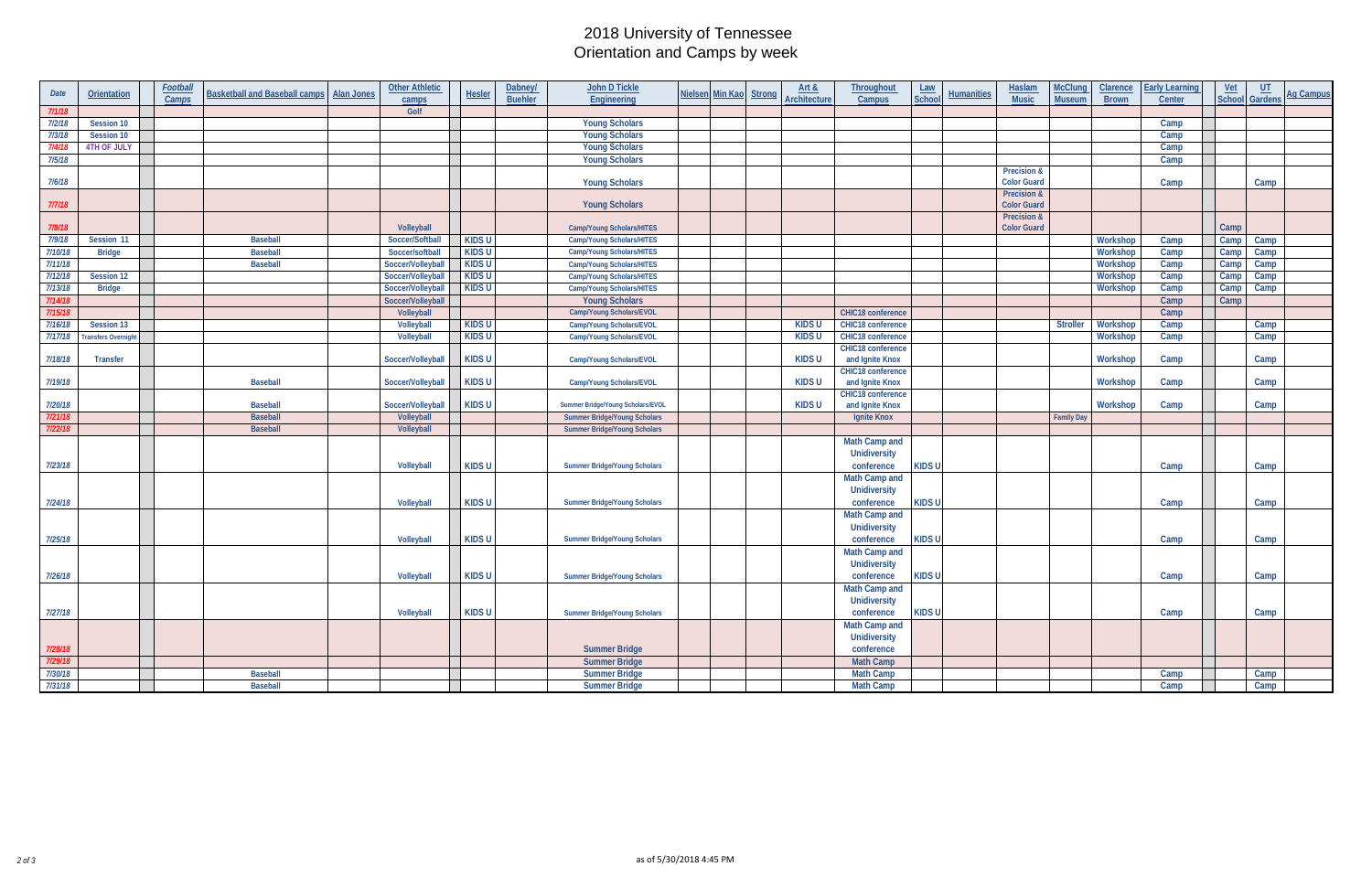## 2018 University of Tennessee Orientation and Camps by week

|         |                            | <b>Football</b> | <b>Basketball and Baseball camps</b> | <b>Alan Jones</b> | <b>Other Athletic</b> |              | Dabney/        | <b>John D Tickle</b>                |                        | <u>Art &amp;</u>    | <b>Throughout</b>        | <b>Law</b>        | <b>Humanities</b> | Haslam                            | <b>McClung</b>    | Clarence     | <b>Early Learning</b> | <u>Vet</u> |                       |                  |
|---------|----------------------------|-----------------|--------------------------------------|-------------------|-----------------------|--------------|----------------|-------------------------------------|------------------------|---------------------|--------------------------|-------------------|-------------------|-----------------------------------|-------------------|--------------|-----------------------|------------|-----------------------|------------------|
| Date    | Orientation                | Camps           |                                      |                   | camps                 | Hesler       | <b>Buehler</b> | Engineering                         | Nielsen Min Kao Strong | <b>Architecture</b> | Campus                   | Schoo             |                   | <b>Music</b>                      | <b>Museum</b>     | <b>Brown</b> | Center                |            | <b>School Gardens</b> | <b>Ag Campus</b> |
| 7/1/18  |                            |                 |                                      |                   | Golf                  |              |                |                                     |                        |                     |                          |                   |                   |                                   |                   |              |                       |            |                       |                  |
| 7/2/18  | Session 10                 |                 |                                      |                   |                       |              |                | <b>Young Scholars</b>               |                        |                     |                          |                   |                   |                                   |                   |              | Camp                  |            |                       |                  |
| 7/3/18  | Session 10                 |                 |                                      |                   |                       |              |                | <b>Young Scholars</b>               |                        |                     |                          |                   |                   |                                   |                   |              | Camp                  |            |                       |                  |
| 7/4/18  | <b>4TH OF JULY</b>         |                 |                                      |                   |                       |              |                | <b>Young Scholars</b>               |                        |                     |                          |                   |                   |                                   |                   |              | Camp                  |            |                       |                  |
| 7/5/18  |                            |                 |                                      |                   |                       |              |                | <b>Young Scholars</b>               |                        |                     |                          |                   |                   |                                   |                   |              | Camp                  |            |                       |                  |
|         |                            |                 |                                      |                   |                       |              |                |                                     |                        |                     |                          |                   |                   | Precision &                       |                   |              |                       |            |                       |                  |
| 7/6/18  |                            |                 |                                      |                   |                       |              |                | <b>Young Scholars</b>               |                        |                     |                          |                   |                   | <b>Color Guard</b>                |                   |              | Camp                  |            | Camp                  |                  |
|         |                            |                 |                                      |                   |                       |              |                |                                     |                        |                     |                          |                   |                   | <b>Precision &amp;</b>            |                   |              |                       |            |                       |                  |
| 7/7/18  |                            |                 |                                      |                   |                       |              |                | <b>Young Scholars</b>               |                        |                     |                          |                   |                   | <b>Color Guard</b>                |                   |              |                       |            |                       |                  |
| 7/8/18  |                            |                 |                                      |                   | Volleyball            |              |                | <b>Camp/Young Scholars/HITES</b>    |                        |                     |                          |                   |                   | Precision &<br><b>Color Guard</b> |                   |              |                       | Camp       |                       |                  |
| 7/9/18  | Session 11                 |                 | <b>Baseball</b>                      |                   | Soccer/Softbal        | <b>KIDSU</b> |                | <b>Camp/Young Scholars/HITES</b>    |                        |                     |                          |                   |                   |                                   |                   | Workshop     | Camp                  | Camp       | Camp                  |                  |
| 7/10/18 | <b>Bridge</b>              |                 | <b>Basebal</b>                       |                   | Soccer/softbal        | KIDS U       |                | <b>Camp/Young Scholars/HITES</b>    |                        |                     |                          |                   |                   |                                   |                   | Workshop     | Camp                  | Camp       | Camp                  |                  |
| 7/11/18 |                            |                 | <b>Baseball</b>                      |                   | Soccer/Volleybal      | KIDS U       |                | <b>Camp/Young Scholars/HITES</b>    |                        |                     |                          |                   |                   |                                   |                   | Workshop     | Camp                  | Camp       | Camp                  |                  |
| 7/12/18 | Session 12                 |                 |                                      |                   | Soccer/Volleyball     | <b>KIDSU</b> |                | <b>Camp/Young Scholars/HITES</b>    |                        |                     |                          |                   |                   |                                   |                   | Workshop     | Camp                  | Camp       | Camp                  |                  |
| 7/13/18 | <b>Bridge</b>              |                 |                                      |                   | Soccer/Volleybal      | <b>KIDSU</b> |                | Camp/Young Scholars/HITES           |                        |                     |                          |                   |                   |                                   |                   | Workshop     | Camp                  | Camp       | Camp                  |                  |
| 7/14/18 |                            |                 |                                      |                   | Soccer/Volleyball     |              |                | <b>Young Scholars</b>               |                        |                     |                          |                   |                   |                                   |                   |              | Camp                  | Camp       |                       |                  |
| 7/15/18 |                            |                 |                                      |                   | Volleyball            |              |                | Camp/Young Scholars/EVOL            |                        |                     | <b>CHIC18</b> conference |                   |                   |                                   |                   |              | Camp                  |            |                       |                  |
| 7/16/18 | Session 13                 |                 |                                      |                   | Volleyball            | KIDS U       |                | Camp/Young Scholars/EVOL            |                        | <b>KIDSU</b>        | CHIC18 conference        |                   |                   |                                   | <b>Stroller</b>   | Workshop     | Camp                  |            | Camp                  |                  |
| 7/17/18 | <b>Transfers Overnight</b> |                 |                                      |                   | Volleyball            | <b>KIDSU</b> |                | Camp/Young Scholars/EVOL            |                        | <b>KIDSU</b>        | <b>CHIC18</b> conference |                   |                   |                                   |                   | Workshop     | Camp                  |            | Camp                  |                  |
|         |                            |                 |                                      |                   |                       |              |                |                                     |                        |                     | CHIC18 conference        |                   |                   |                                   |                   |              |                       |            |                       |                  |
| 7/18/18 | <b>Transfer</b>            |                 |                                      |                   | Soccer/Volleyball     | <b>KIDSU</b> |                | Camp/Young Scholars/EVOL            |                        | <b>KIDSU</b>        | and Ignite Knox          |                   |                   |                                   |                   | Workshop     | Camp                  |            | Camp                  |                  |
|         |                            |                 |                                      |                   |                       |              |                |                                     |                        |                     | <b>CHIC18</b> conference |                   |                   |                                   |                   |              |                       |            |                       |                  |
| 7/19/18 |                            |                 | <b>Baseball</b>                      |                   | Soccer/Volleyball     | KIDS U       |                | Camp/Young Scholars/EVOL            |                        | <b>KIDSU</b>        | and Ignite Knox          |                   |                   |                                   |                   | Workshop     | Camp                  |            | Camp                  |                  |
|         |                            |                 |                                      |                   |                       |              |                |                                     |                        |                     | CHIC18 conference        |                   |                   |                                   |                   |              |                       |            |                       |                  |
| 7/20/18 |                            |                 | <b>Baseball</b>                      |                   | Soccer/Volleyball     | <b>KIDSU</b> |                | Summer Bridge/Young Scholars/EVOL   |                        | <b>KIDSU</b>        | and Ignite Knox          |                   |                   |                                   |                   | Workshop     | Camp                  |            | Camp                  |                  |
| 7/21/18 |                            |                 | <b>Baseball</b>                      |                   | Volleyball            |              |                | <b>Summer Bridge/Young Scholars</b> |                        |                     | <b>Ignite Knox</b>       |                   |                   |                                   | <b>Family Day</b> |              |                       |            |                       |                  |
| 7/22/18 |                            |                 | <b>Baseball</b>                      |                   | Volleyball            |              |                | Summer Bridge/Young Scholars        |                        |                     |                          |                   |                   |                                   |                   |              |                       |            |                       |                  |
|         |                            |                 |                                      |                   |                       |              |                |                                     |                        |                     | Math Camp and            |                   |                   |                                   |                   |              |                       |            |                       |                  |
|         |                            |                 |                                      |                   |                       |              |                |                                     |                        |                     | <b>Unidiversity</b>      |                   |                   |                                   |                   |              |                       |            |                       |                  |
| 7/23/18 |                            |                 |                                      |                   | Volleyball            | <b>KIDSU</b> |                | <b>Summer Bridge/Young Scholars</b> |                        |                     | conference               | KIDS <sub>L</sub> |                   |                                   |                   |              | Camp                  |            | Camp                  |                  |
|         |                            |                 |                                      |                   |                       |              |                |                                     |                        |                     | Math Camp and            |                   |                   |                                   |                   |              |                       |            |                       |                  |
|         |                            |                 |                                      |                   |                       |              |                |                                     |                        |                     | <b>Unidiversity</b>      |                   |                   |                                   |                   |              |                       |            |                       |                  |
| 7/24/18 |                            |                 |                                      |                   | Volleyball            | KIDS U       |                | <b>Summer Bridge/Young Scholars</b> |                        |                     | conference               | KIDS <sub>L</sub> |                   |                                   |                   |              | Camp                  |            | Camp                  |                  |
|         |                            |                 |                                      |                   |                       |              |                |                                     |                        |                     | Math Camp and            |                   |                   |                                   |                   |              |                       |            |                       |                  |
|         |                            |                 |                                      |                   |                       |              |                |                                     |                        |                     | <b>Unidiversity</b>      |                   |                   |                                   |                   |              |                       |            |                       |                  |
| 7/25/18 |                            |                 |                                      |                   | Volleyball            | <b>KIDSU</b> |                | <b>Summer Bridge/Young Scholars</b> |                        |                     | conference               | KIDS <sub>L</sub> |                   |                                   |                   |              | Camp                  |            | Camp                  |                  |
|         |                            |                 |                                      |                   |                       |              |                |                                     |                        |                     | Math Camp and            |                   |                   |                                   |                   |              |                       |            |                       |                  |
|         |                            |                 |                                      |                   |                       |              |                |                                     |                        |                     | Unidiversity             |                   |                   |                                   |                   |              |                       |            |                       |                  |
| 7/26/18 |                            |                 |                                      |                   | Volleyball            | <b>KIDSU</b> |                | Summer Bridge/Young Scholars        |                        |                     | conference               | KIDS <sub>I</sub> |                   |                                   |                   |              | Camp                  |            | Camp                  |                  |
|         |                            |                 |                                      |                   |                       |              |                |                                     |                        |                     | <b>Math Camp and</b>     |                   |                   |                                   |                   |              |                       |            |                       |                  |
|         |                            |                 |                                      |                   |                       |              |                |                                     |                        |                     | <b>Unidiversity</b>      |                   |                   |                                   |                   |              |                       |            |                       |                  |
| 7/27/18 |                            |                 |                                      |                   | Volleyball            | KIDS U       |                | <b>Summer Bridge/Young Scholars</b> |                        |                     | conference               | <b>KIDSU</b>      |                   |                                   |                   |              | Camp                  |            | Camp                  |                  |
|         |                            |                 |                                      |                   |                       |              |                |                                     |                        |                     | Math Camp and            |                   |                   |                                   |                   |              |                       |            |                       |                  |
|         |                            |                 |                                      |                   |                       |              |                |                                     |                        |                     | <b>Unidiversity</b>      |                   |                   |                                   |                   |              |                       |            |                       |                  |
| 7/28/18 |                            |                 |                                      |                   |                       |              |                | <b>Summer Bridge</b>                |                        |                     | conference               |                   |                   |                                   |                   |              |                       |            |                       |                  |
| 7/29/18 |                            |                 |                                      |                   |                       |              |                | <b>Summer Bridge</b>                |                        |                     | <b>Math Camp</b>         |                   |                   |                                   |                   |              |                       |            |                       |                  |
| 7/30/18 |                            |                 | <b>Baseball</b>                      |                   |                       |              |                | <b>Summer Bridge</b>                |                        |                     | <b>Math Camp</b>         |                   |                   |                                   |                   |              | Camp                  |            | Camp                  |                  |
| 7/31/18 |                            |                 | <b>Baseball</b>                      |                   |                       |              |                | <b>Summer Bridge</b>                |                        |                     | <b>Math Camp</b>         |                   |                   |                                   |                   |              | Camp                  |            | Camp                  |                  |